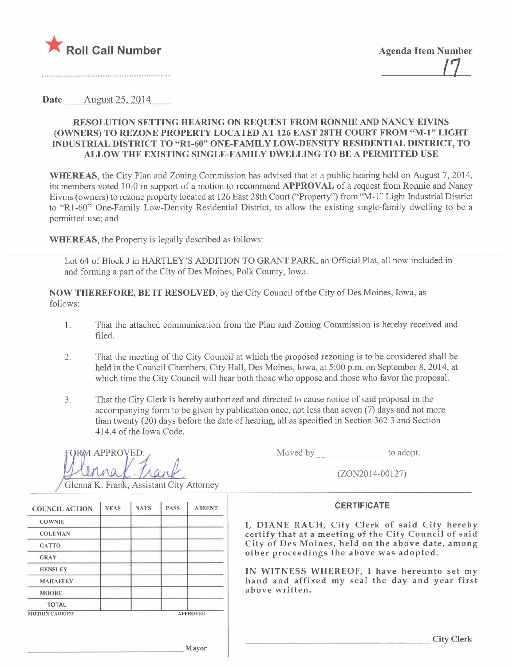

Date  $\frac{\text{August }25, 2014}{\text{August }25, 2014}$ 

### RESOLUTION SETTING HEARING ON REQUEST FROM RONNIE AND NANCY EIVINS (OWNERS) TO REZONE PROPERTY LOCATED AT 126 EAST 28TH COURT FROM "M-l" LIGHT INDUSTRIAL DISTRICT TO "R1-60" ONE-FAMILY LOW-DENSITY RESIDENTIAL DISTRICT, TO ALLOW THE EXISTING SINGLE-FAMILY DWELLING TO BE A PERMITTED USE

WHEREAS, the City Plan and Zoning Commission has advised that at a public hearing held on August 7, 2014, its members voted 10-0 in support of a motion to recommend APPROVAL of a request from Ronnie and Nancy Eivins (owners) to rezone property located at 126 East 28th Court ("Property") from "M-1" Light Industrial District to "Rl -60" One-Family Low-Density Residential District, to allow the existing single-family dwelling to be a permitted use; and

WHEREAS, the Property is legally described as follows:

Lot 64 of Block J in HARTLEY'S ADDITION TO GRANT PARK, an Official Plat, all now included in and forming a part of the City of Des Moines, Polk County, Iowa.

NOW THEREFORE, BE IT RESOLVED, by the City Council of the City of Des Moines, Iowa, as follows:

- 1. That the attached communication from the Plan and Zoning Commission is hereby received and fied.
- 2. That the meeting of the City Council at which the proposed rezoning is to be considered shall be held in the Council Chambers, City Hall, Des Moines, Iowa, at 5:00 p.m. on September 8,2014, at which time the City Council will hear both those who oppose and those who favor the proposal.
- 3. That the City Clerk is hereby authorized and directed to cause notice of said proposal in the accompanying form to be given by publication once, not less than seven (7) days and not more than twenty (20) days before the date of hearing, all as specified in Section 362.3 and Section 414.4 of the Iowa Code.

| FORM APPROVED:                         |  |
|----------------------------------------|--|
|                                        |  |
| $\mathbb{M}$ $\mathbb{M}$ $\mathbb{M}$ |  |
|                                        |  |

Moved by to adopt.

 $(ZON2014-00127)$ 

#### **CERTIFICATE**

I, DIANE RAUH, City Clerk of said City hereby certify that at a meeting of the City Council of said City of Des Moines, held on the above date, among other proceedings the above was adopted.

IN WITNESS WHEREOF, I have hereunto set my hand and affixed my seal the day and year first above written.

Glenna K. Frank, Assistant City Attorney

| <b>COUNCIL ACTION</b> | <b>YEAS</b> | <b>NAYS</b> | <b>PASS</b> | <b>ABSENT</b>   |
|-----------------------|-------------|-------------|-------------|-----------------|
| <b>COWNIE</b>         |             |             |             |                 |
| <b>COLEMAN</b>        |             |             |             |                 |
| <b>GATTO</b>          |             |             |             |                 |
| <b>GRAY</b>           |             |             |             |                 |
| <b>HENSLEY</b>        |             |             |             |                 |
| <b>MAHAFFEY</b>       |             |             |             |                 |
| <b>MOORE</b>          |             |             |             |                 |
| <b>TOTAL</b>          |             |             |             |                 |
| <b>MOTION CARRIED</b> |             |             |             | <b>APPROVED</b> |

City Clerk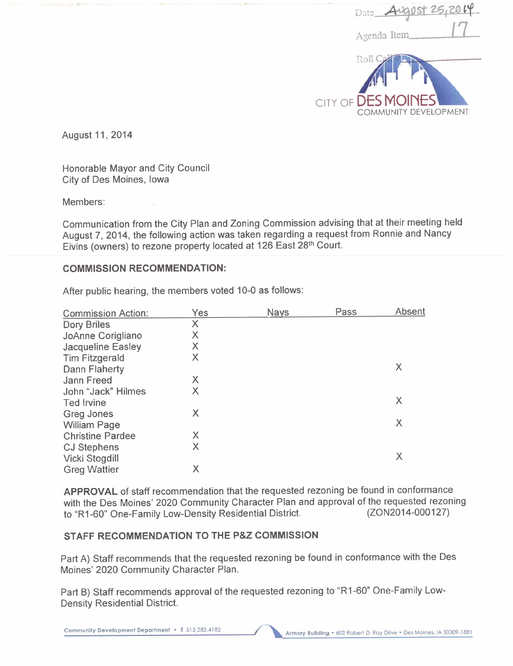| Date <b>August 25, 2014</b>                 |
|---------------------------------------------|
| Agenda Item                                 |
| Roll C                                      |
|                                             |
| CITY OF DES MOINES<br>COMMUNITY DEVELOPMENT |

August 11 , 2014

Honorable Mayor and City Council City of Des Moines, Iowa

Members:

Communication from the City Plan and Zoning Commission advising that at their meeting held August 7, 2014, the following action was taken regarding a request from Ronnie and Nancy Eivins (owners) to rezone property located at 126 East 28th Court.

## COMMISSION RECOMMENDATION:

After public hearing, the members voted 10-0 as follows:

| <b>Commission Action:</b> | <b>Yes</b> | <b>Nays</b> | Pass | Absent |
|---------------------------|------------|-------------|------|--------|
| <b>Dory Briles</b>        | $\times$   |             |      |        |
| JoAnne Corigliano         | X          |             |      |        |
| <b>Jacqueline Easley</b>  | X          |             |      |        |
| <b>Tim Fitzgerald</b>     | X          |             |      |        |
| <b>Dann Flaherty</b>      |            |             |      | X      |
| <b>Jann Freed</b>         | X          |             |      |        |
| John "Jack" Hilmes        | X          |             |      |        |
| <b>Ted Irvine</b>         |            |             |      | X      |
| <b>Greg Jones</b>         | X          |             |      |        |
| <b>William Page</b>       |            |             |      | X      |
| <b>Christine Pardee</b>   | X          |             |      |        |
| <b>CJ Stephens</b>        | X          |             |      |        |
| Vicki Stogdill            |            |             |      | Χ      |
| <b>Greg Wattier</b>       | Χ          |             |      |        |
|                           |            |             |      |        |

APPROVAL of staff recommendation that the requested rezoning be found in conformance with the Des Moines' 2020 Community Character Plan and approval of the requested rezoning<br>to "R1-60" One-Family Low-Density Residential District. (ZON2014-000127) to "R1-60" One-Family Low-Density Residential District.

## STAFF RECOMMENDATION TO THE P&Z COMMISSION

Part A) Staff recommends that the requested rezoning be found in conformance with the Des Moines' 2020 Community Character Plan.

Part B) Staff recommends approval of the requested rezoning to "R 1-60" One-Family Low-Density Residential District.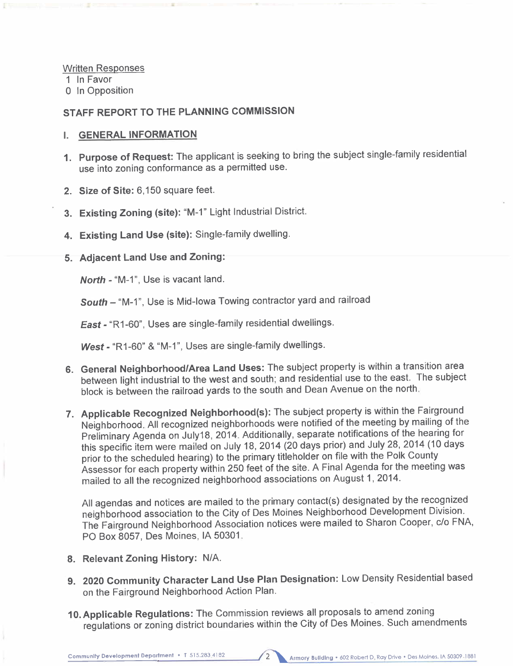Written Responses

1 In Favor

o In Opposition

## STAFF REPORT TO THE PLANNING COMMISSION

#### i. GENERAL INFORMATION

- 1. Purpose of Request: The applicant is seeking to bring the subject single-family residential use into zoning conformance as a permitted use.
- 2. Size of Site: 6,150 square feet.
- 3. Existing Zoning (site): "M-1" Light Industrial District.
- 4. Existing Land Use (site): Single-family dwelling.

#### 5. Adjacent Land Use and Zoning:

North - "M-1", Use is vacant land.

South - "M-1", Use is Mid-Iowa Towing contractor yard and railroad

East - "R1-60", Uses are single-family residential dwellings.

West - "R1-60" & "M-1", Uses are single-family dwellings.

- 6. General Neighborhood/Area Land Uses: The subject property is within a transition area between light industrial to the west and south; and residential use to the east. The subject block is between the railroad yards to the south and Dean Avenue on the north.
- 7. Applicable Recognized Neighborhood(s): The subject property is within the Fairground Neighborhood. All recognized neighborhoods were notified of the meeting by mailng of the Preliminary Agenda on July18, 2014. Additionally, separate notifications of the hearing for this specific item were mailed on July 18, 2014 (20 days prior) and July 28, 2014 (10 days prior to the scheduled hearing) to the primary titleholder on file with the Polk County Assessor for each property within 250 feet of the site. A Final Agenda for the meeting was mailed to all the recognized neighborhood associations on August 1,2014.

All agendas and notices are mailed to the primary contact(s) designated by the recognized neighborhood association to the City of Des Moines Neighborhood Development Division. The Fairground Neighborhood Association notices were mailed to Sharon Cooper, c/o FNA, PO Box 8057, Des Moines, IA 50301.

- 8. Relevant Zoning History: N/A.
- 9. 2020 Community Character Land Use Plan Designation: Low Density Residential based on the Fairground Neighborhood Action Plan.
- 10. Applicable Regulations: The Commission reviews all proposals to amend zoning regulations or zoning district boundaries within the City of Des Moines. Such amendments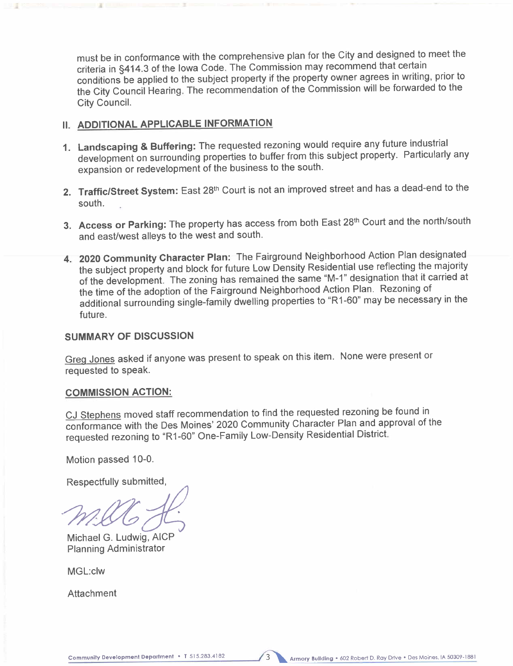must be in conformance with the comprehensive plan for the City and designed to meet the criteria in §414.3 of the Iowa Code. The Commission may recommend that certain conditions be applied to the subject property if the property owner agrees in writing, prior to the City Council Hearing. The recommendation of the Commission wil be forwarded to the City CounciL.

# II. ADDITIONAL APPLICABLE INFORMATION

- 1. Landscaping & Buffering: The requested rezoning would require any future industrial development on surrounding properties to buffer from this subject property. Particularly any expansion or redevelopment of the business to the south.
- 2. Traffic/Street System: East 28<sup>th</sup> Court is not an improved street and has a dead-end to the south.
- 3. Access or Parking: The property has access from both East 28<sup>th</sup> Court and the north/south and east/west alleys to the west and south.
- 4. 2020 Community Character Plan: The Fairground Neighborhood Action Plan designated the subject property and block for future Low Density Residential use reflecting the majority of the development. The zoning has remained the same "M-1" designation that it carried at the time of the adoption of the Fairground Neighborhood Action Plan. Rezoning of additional surrounding single-family dwelling properties to "R1-60" may be necessary in the future.

## SUMMARY OF DISCUSSION

Greg Jones asked if anyone was present to speak on this item. None were present or requested to speak.

## COMMISSION ACTION:

CJ Stephens moved staff recommendation to find the requested rezoning be found in conformance with the Des Moines' 2020 Community Character Plan and approval of the requested rezoning to "R1-60" One-Family Low-Density Residential District.

Motion passed 10-0.

Respectfully submitted,<br>
MACC<br>
Michael G. Ludwig, AICP

Planning Administrator

MGL:clw

Attachment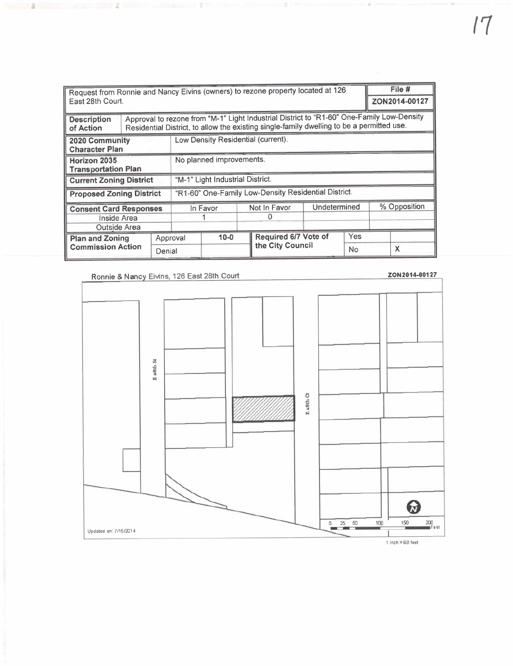| Request from Ronnie and Nancy Eivins (owners) to rezone property located at 126<br>East 28th Court. |                                  |                                                                                                                                                                                        |                                                      |  |              | File #<br>ZON2014-00127     |              |     |              |   |
|-----------------------------------------------------------------------------------------------------|----------------------------------|----------------------------------------------------------------------------------------------------------------------------------------------------------------------------------------|------------------------------------------------------|--|--------------|-----------------------------|--------------|-----|--------------|---|
| <b>Description</b><br>of Action                                                                     |                                  | Approval to rezone from "M-1" Light Industrial District to "R1-60" One-Family Low-Density<br>Residential District, to allow the existing single-family dwelling to be a permitted use. |                                                      |  |              |                             |              |     |              |   |
| 2020 Community<br><b>Character Plan</b>                                                             |                                  |                                                                                                                                                                                        | Low Density Residential (current).                   |  |              |                             |              |     |              |   |
| <b>Horizon 2035</b><br><b>Transportation Plan</b>                                                   |                                  |                                                                                                                                                                                        | No planned improvements.                             |  |              |                             |              |     |              |   |
| <b>Current Zoning District</b>                                                                      | "M-1" Light Industrial District. |                                                                                                                                                                                        |                                                      |  |              |                             |              |     |              |   |
| <b>Proposed Zoning District</b>                                                                     |                                  |                                                                                                                                                                                        | "R1-60" One-Family Low-Density Residential District. |  |              |                             |              |     |              |   |
| <b>Consent Card Responses</b><br>Inside Area<br>Outside Area                                        |                                  |                                                                                                                                                                                        | In Favor                                             |  | Not In Favor |                             | Undetermined |     | % Opposition |   |
| <b>Plan and Zoning</b><br><b>Commission Action</b>                                                  |                                  |                                                                                                                                                                                        | $10 - 0$<br>Approval                                 |  |              | <b>Required 6/7 Vote of</b> |              | Yes |              |   |
|                                                                                                     |                                  | Denial                                                                                                                                                                                 |                                                      |  |              | the City Council            |              | No  |              | X |

**MARKET ALL ARRAIGNMENT** 

I

**THE R. P. LEWIS CO., LANSING MICH.** 

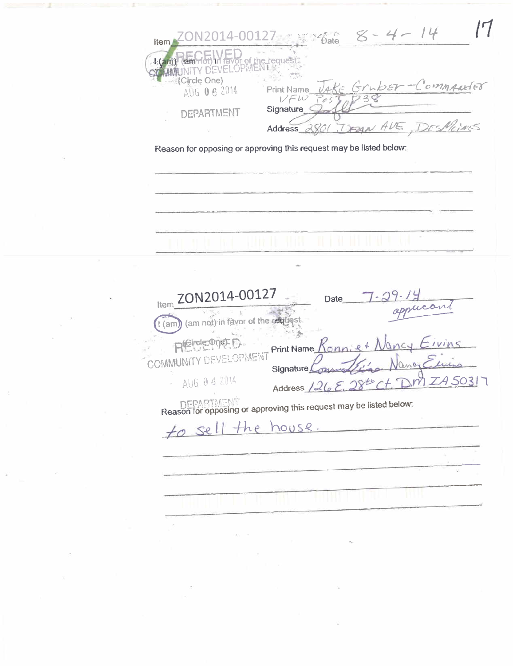$8 - 4 - 14$  $16$ ate 2014-00127-Item י, ו<del>פתרהסט</del> זה favor of the request:<br>IUNITY DEVELOPMENT 4 (Circle One) JAKE Gruber-Commander AUG 0 6 2014 **Print Name** VFW  $T$ os Signature **DEPARTMENT** DEAN AVE  $D$ r< $N_h$ Address 2801 κŚ Reason for opposing or approving this request may be listed below: ZON2014-00127 **Date** ltem فبهدير (am not) in favor of the request.  $1$  (am (Girole: One): F Print Name OPMENT COMMUNITY DE Signature AUG 04 2014  $ZASO31$  $\frac{1}{2}$ Address  $1262$ DEPARTMENT<br>Reason for opposing or approving this request may be listed below: house. to sel  $+he$